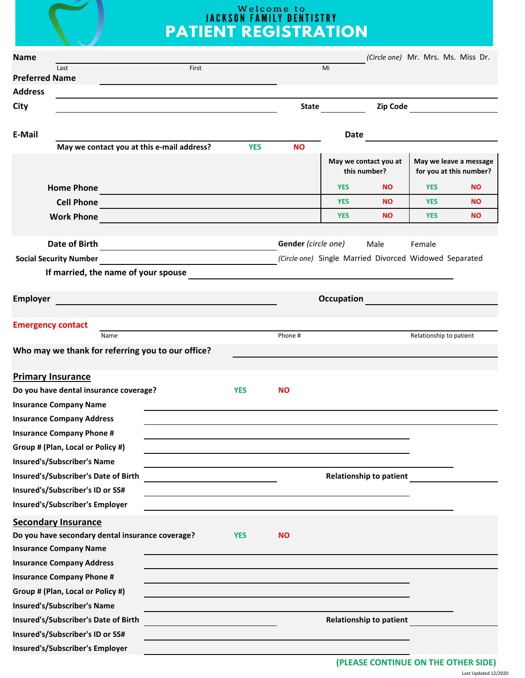# **Welcome to<br>IACKSON FAMILY DENTISTRY**<br>PATIENT REGISTRATION

| <b>Name</b>     |                                                                                                                                               |            |                                                                                                                      |                   |                                |                         | (Circle one) Mr. Mrs. Ms. Miss Dr.                |
|-----------------|-----------------------------------------------------------------------------------------------------------------------------------------------|------------|----------------------------------------------------------------------------------------------------------------------|-------------------|--------------------------------|-------------------------|---------------------------------------------------|
|                 | First<br>Last<br><b>Preferred Name</b>                                                                                                        |            |                                                                                                                      | Mi                |                                |                         |                                                   |
| <b>Address</b>  |                                                                                                                                               |            |                                                                                                                      |                   |                                |                         |                                                   |
| City            |                                                                                                                                               |            | <b>State</b>                                                                                                         |                   | Zip Code                       |                         |                                                   |
|                 |                                                                                                                                               |            |                                                                                                                      |                   |                                |                         |                                                   |
| <b>E-Mail</b>   |                                                                                                                                               |            |                                                                                                                      | Date              |                                |                         |                                                   |
|                 | May we contact you at this e-mail address?                                                                                                    | <b>YES</b> | <b>NO</b>                                                                                                            |                   |                                |                         |                                                   |
|                 |                                                                                                                                               |            |                                                                                                                      | this number?      | May we contact you at          |                         | May we leave a message<br>for you at this number? |
|                 | <b>Home Phone</b><br><u> 1989 - Johann Barn, mars an t-Amerikaansk kommunister (</u>                                                          |            |                                                                                                                      | <b>YES</b>        | <b>NO</b>                      | <b>YES</b>              | <b>NO</b>                                         |
|                 | <b>Cell Phone</b>                                                                                                                             |            |                                                                                                                      | <b>YES</b>        | <b>NO</b>                      | <b>YES</b>              | <b>NO</b>                                         |
|                 | <b>Work Phone</b>                                                                                                                             |            |                                                                                                                      | <b>YES</b>        | <b>NO</b>                      | <b>YES</b>              | <b>NO</b>                                         |
|                 |                                                                                                                                               |            |                                                                                                                      |                   |                                |                         |                                                   |
|                 | <b>Date of Birth</b><br><u> 1989 - John Stein, mars and de Brandenberg and de Brandenberg and de Brandenberg and de Brandenberg and de Br</u> |            | Gender (circle one)                                                                                                  |                   | Male                           | Female                  |                                                   |
|                 | <b>Social Security Number</b>                                                                                                                 |            | (Circle one) Single Married Divorced Widowed Separated                                                               |                   |                                |                         |                                                   |
|                 | If married, the name of your spouse                                                                                                           |            |                                                                                                                      |                   |                                |                         |                                                   |
|                 |                                                                                                                                               |            |                                                                                                                      |                   |                                |                         |                                                   |
| <b>Employer</b> |                                                                                                                                               |            |                                                                                                                      | <b>Occupation</b> |                                |                         |                                                   |
|                 | <b>Emergency contact</b>                                                                                                                      |            |                                                                                                                      |                   |                                |                         |                                                   |
|                 | Name                                                                                                                                          |            | Phone#                                                                                                               |                   |                                | Relationship to patient |                                                   |
|                 | Who may we thank for referring you to our office?                                                                                             |            |                                                                                                                      |                   |                                |                         |                                                   |
|                 |                                                                                                                                               |            |                                                                                                                      |                   |                                |                         |                                                   |
|                 | <b>Primary Insurance</b><br>Do you have dental insurance coverage?                                                                            | <b>YES</b> | <b>NO</b>                                                                                                            |                   |                                |                         |                                                   |
|                 | <b>Insurance Company Name</b>                                                                                                                 |            |                                                                                                                      |                   |                                |                         |                                                   |
|                 | <b>Insurance Company Address</b>                                                                                                              |            |                                                                                                                      |                   |                                |                         |                                                   |
|                 | <b>Insurance Company Phone #</b>                                                                                                              |            |                                                                                                                      |                   |                                |                         |                                                   |
|                 | Group # (Plan, Local or Policy #)                                                                                                             |            |                                                                                                                      |                   |                                |                         |                                                   |
|                 | <b>Insured's/Subscriber's Name</b>                                                                                                            |            | and the control of the control of the control of the control of the control of the control of the control of the     |                   |                                |                         |                                                   |
|                 | Insured's/Subscriber's Date of Birth                                                                                                          |            |                                                                                                                      |                   | <b>Relationship to patient</b> |                         |                                                   |
|                 | Insured's/Subscriber's ID or SS#                                                                                                              |            |                                                                                                                      |                   |                                |                         |                                                   |
|                 | Insured's/Subscriber's Employer                                                                                                               |            |                                                                                                                      |                   |                                |                         |                                                   |
|                 | <b>Secondary Insurance</b>                                                                                                                    |            |                                                                                                                      |                   |                                |                         |                                                   |
|                 | Do you have secondary dental insurance coverage?                                                                                              | <b>YES</b> | <b>NO</b>                                                                                                            |                   |                                |                         |                                                   |
|                 | <b>Insurance Company Name</b>                                                                                                                 |            |                                                                                                                      |                   |                                |                         |                                                   |
|                 | <b>Insurance Company Address</b>                                                                                                              |            |                                                                                                                      |                   |                                |                         |                                                   |
|                 | <b>Insurance Company Phone #</b>                                                                                                              |            |                                                                                                                      |                   |                                |                         |                                                   |
|                 | Group # (Plan, Local or Policy #)                                                                                                             |            |                                                                                                                      |                   |                                |                         |                                                   |
|                 | <b>Insured's/Subscriber's Name</b>                                                                                                            |            |                                                                                                                      |                   |                                |                         |                                                   |
|                 | Insured's/Subscriber's Date of Birth                                                                                                          |            |                                                                                                                      |                   | <b>Relationship to patient</b> |                         |                                                   |
|                 | Insured's/Subscriber's ID or SS#                                                                                                              |            |                                                                                                                      |                   |                                |                         |                                                   |
|                 | <b>Insured's/Subscriber's Employer</b>                                                                                                        |            | <u> 1989 - Johann Stein, marwolaethau a bhann an t-Amhair ann an t-Amhair an t-Amhair an t-Amhair an t-Amhair an</u> |                   |                                |                         |                                                   |
|                 |                                                                                                                                               |            |                                                                                                                      |                   |                                |                         |                                                   |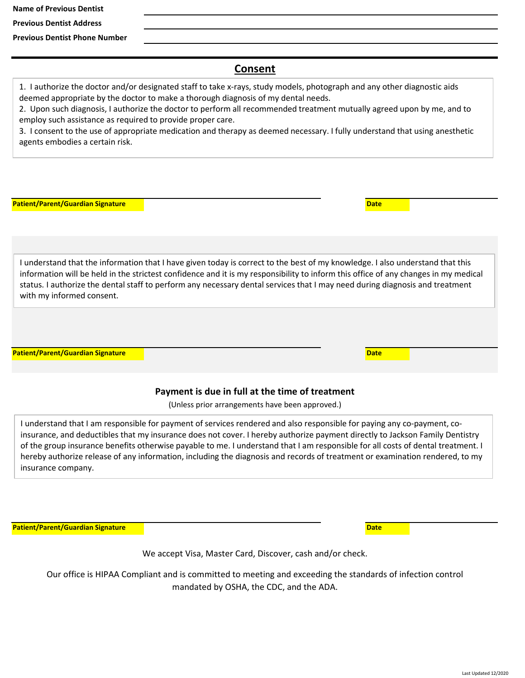**Name of Previous Dentist**

**Previous Dentist Address**

**Previous Dentist Phone Number**

### **Consent**

1. I authorize the doctor and/or designated staff to take x‐rays, study models, photograph and any other diagnostic aids deemed appropriate by the doctor to make a thorough diagnosis of my dental needs.

2. Upon such diagnosis, I authorize the doctor to perform all recommended treatment mutually agreed upon by me, and to employ such assistance as required to provide proper care.

3. I consent to the use of appropriate medication and therapy as deemed necessary. I fully understand that using anesthetic agents embodies a certain risk.

| <b>Patient/Parent/Guardian Signature</b> |                                                                                                                                                                                                                                                                                                                                                                                                      | <b>Date</b> |  |
|------------------------------------------|------------------------------------------------------------------------------------------------------------------------------------------------------------------------------------------------------------------------------------------------------------------------------------------------------------------------------------------------------------------------------------------------------|-------------|--|
|                                          |                                                                                                                                                                                                                                                                                                                                                                                                      |             |  |
|                                          |                                                                                                                                                                                                                                                                                                                                                                                                      |             |  |
| with my informed consent.                | I understand that the information that I have given today is correct to the best of my knowledge. I also understand that this<br>information will be held in the strictest confidence and it is my responsibility to inform this office of any changes in my medical<br>status. I authorize the dental staff to perform any necessary dental services that I may need during diagnosis and treatment |             |  |
|                                          |                                                                                                                                                                                                                                                                                                                                                                                                      |             |  |
| <b>Patient/Parent/Guardian Signature</b> |                                                                                                                                                                                                                                                                                                                                                                                                      | <b>Date</b> |  |

#### **Payment is due in full at the time of treatment**

(Unless prior arrangements have been approved.)

I understand that I am responsible for payment of services rendered and also responsible for paying any co‐payment, co‐ insurance, and deductibles that my insurance does not cover. I hereby authorize payment directly to Jackson Family Dentistry of the group insurance benefits otherwise payable to me. I understand that I am responsible for all costs of dental treatment. I hereby authorize release of any information, including the diagnosis and records of treatment or examination rendered, to my insurance company.

**Patient/Parent/Guardian Signature Date** 

We accept Visa, Master Card, Discover, cash and/or check.

mandated by OSHA, the CDC, and the ADA. Our office is HIPAA Compliant and is committed to meeting and exceeding the standards of infection control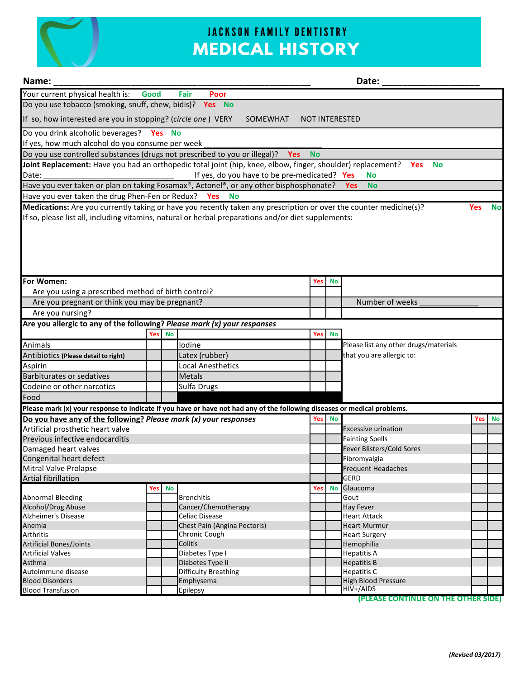

## **JACKSON FAMILY DENTISTRY MEDICAL HISTORY**

| Name:<br>Date:                                                           |                                                                                                   |           |                                                                                                                          |           |           |                                       |            |           |
|--------------------------------------------------------------------------|---------------------------------------------------------------------------------------------------|-----------|--------------------------------------------------------------------------------------------------------------------------|-----------|-----------|---------------------------------------|------------|-----------|
| Your current physical health is:                                         | Good                                                                                              |           | Fair<br>Poor                                                                                                             |           |           |                                       |            |           |
| Do you use tobacco (smoking, snuff, chew, bidis)? Yes No                 |                                                                                                   |           |                                                                                                                          |           |           |                                       |            |           |
|                                                                          | If so, how interested are you in stopping? (circle one) VERY<br>SOMEWHAT<br><b>NOT INTERESTED</b> |           |                                                                                                                          |           |           |                                       |            |           |
| Do you drink alcoholic beverages? Yes No                                 |                                                                                                   |           |                                                                                                                          |           |           |                                       |            |           |
| If yes, how much alcohol do you consume per week                         |                                                                                                   |           |                                                                                                                          |           |           |                                       |            |           |
|                                                                          |                                                                                                   |           | Do you use controlled substances (drugs not prescribed to you or illegal)? Yes                                           | <b>No</b> |           |                                       |            |           |
|                                                                          |                                                                                                   |           | Joint Replacement: Have you had an orthopedic total joint (hip, knee, elbow, finger, shoulder) replacement? Yes          |           |           | <b>No</b>                             |            |           |
| Date:                                                                    |                                                                                                   |           | If yes, do you have to be pre-medicated? Yes                                                                             |           |           | <b>No</b>                             |            |           |
|                                                                          |                                                                                                   |           | Have you ever taken or plan on taking Fosamax®, Actonel®, or any other bisphosphonate?                                   |           |           | <b>Yes</b><br><b>No</b>               |            |           |
| Have you ever taken the drug Phen-Fen or Redux? Yes                      |                                                                                                   |           | <b>No</b>                                                                                                                |           |           |                                       |            |           |
|                                                                          |                                                                                                   |           | Medications: Are you currently taking or have you recently taken any prescription or over the counter medicine(s)?       |           |           |                                       | <b>Yes</b> | <b>No</b> |
|                                                                          |                                                                                                   |           | If so, please list all, including vitamins, natural or herbal preparations and/or diet supplements:                      |           |           |                                       |            |           |
| For Women:                                                               |                                                                                                   |           |                                                                                                                          | Yes       | No        |                                       |            |           |
| Are you using a prescribed method of birth control?                      |                                                                                                   |           |                                                                                                                          |           |           |                                       |            |           |
| Are you pregnant or think you may be pregnant?                           |                                                                                                   |           |                                                                                                                          |           |           | Number of weeks                       |            |           |
| Are you nursing?                                                         |                                                                                                   |           |                                                                                                                          |           |           |                                       |            |           |
|                                                                          |                                                                                                   |           |                                                                                                                          |           |           |                                       |            |           |
| Are you allergic to any of the following? Please mark (x) your responses |                                                                                                   |           |                                                                                                                          |           |           |                                       |            |           |
|                                                                          | Yes                                                                                               | <b>No</b> |                                                                                                                          | Yes       | <b>No</b> |                                       |            |           |
| Animals                                                                  |                                                                                                   |           | Iodine                                                                                                                   |           |           | Please list any other drugs/materials |            |           |
| Antibiotics (Please detail to right)                                     |                                                                                                   |           | Latex (rubber)                                                                                                           |           |           | that you are allergic to:             |            |           |
| Aspirin                                                                  |                                                                                                   |           | <b>Local Anesthetics</b>                                                                                                 |           |           |                                       |            |           |
| <b>Barbiturates or sedatives</b>                                         |                                                                                                   |           | <b>Metals</b>                                                                                                            |           |           |                                       |            |           |
| Codeine or other narcotics                                               |                                                                                                   |           | Sulfa Drugs                                                                                                              |           |           |                                       |            |           |
| Food                                                                     |                                                                                                   |           |                                                                                                                          |           |           |                                       |            |           |
|                                                                          |                                                                                                   |           | Please mark (x) your response to indicate if you have or have not had any of the following diseases or medical problems. |           |           |                                       |            |           |
| Do you have any of the following? Please mark (x) your responses         |                                                                                                   |           |                                                                                                                          | Yes       | <b>No</b> |                                       | Yes        | No        |
| Artificial prosthetic heart valve                                        |                                                                                                   |           |                                                                                                                          |           |           | <b>Excessive urination</b>            |            |           |
| Previous infective endocarditis                                          |                                                                                                   |           |                                                                                                                          |           |           | <b>Fainting Spells</b>                |            |           |
| Damaged heart valves                                                     |                                                                                                   |           |                                                                                                                          |           |           | Fever Blisters/Cold Sores             |            |           |
| Congenital heart defect                                                  |                                                                                                   |           |                                                                                                                          |           |           | Fibromyalgia                          |            |           |
| Mitral Valve Prolapse                                                    |                                                                                                   |           |                                                                                                                          |           |           | <b>Frequent Headaches</b>             |            |           |
| Artial fibrillation                                                      |                                                                                                   |           |                                                                                                                          |           |           | <b>GERD</b>                           |            |           |
|                                                                          | Yes                                                                                               | <b>No</b> |                                                                                                                          | Yes       | <b>No</b> | Glaucoma                              |            |           |
| <b>Abnormal Bleeding</b>                                                 |                                                                                                   |           | <b>Bronchitis</b>                                                                                                        |           |           | Gout                                  |            |           |
| Alcohol/Drug Abuse                                                       |                                                                                                   |           | Cancer/Chemotherapy                                                                                                      |           |           | Hay Fever<br><b>Heart Attack</b>      |            |           |
| Alzheimer's Disease<br>Anemia                                            |                                                                                                   |           | Celiac Disease<br>Chest Pain (Angina Pectoris)                                                                           |           |           | <b>Heart Murmur</b>                   |            |           |
| <b>Arthritis</b>                                                         |                                                                                                   |           | Chronic Cough                                                                                                            |           |           | <b>Heart Surgery</b>                  |            |           |
| <b>Artificial Bones/Joints</b>                                           |                                                                                                   |           | Colitis                                                                                                                  |           |           | Hemophilia                            |            |           |
| <b>Artificial Valves</b>                                                 |                                                                                                   |           | Diabetes Type I                                                                                                          |           |           | <b>Hepatitis A</b>                    |            |           |
| Asthma                                                                   |                                                                                                   |           | Diabetes Type II                                                                                                         |           |           | <b>Hepatitis B</b>                    |            |           |
| Autoimmune disease                                                       |                                                                                                   |           | <b>Difficulty Breathing</b>                                                                                              |           |           | Hepatitis C                           |            |           |
| <b>Blood Disorders</b>                                                   |                                                                                                   |           | Emphysema                                                                                                                |           |           | <b>High Blood Pressure</b>            |            |           |
| <b>Blood Transfusion</b>                                                 |                                                                                                   |           | Epilepsy                                                                                                                 |           |           | HIV+/AIDS                             |            |           |

**(PLEASE CONTINUE ON THE OTHER SIDE)**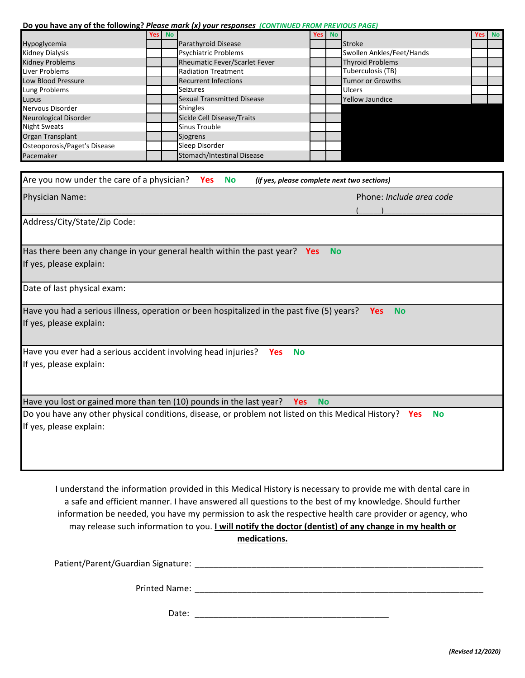#### **Do you have any of the following?** *Please mark (x) your responses (CONTINUED FROM PREVIOUS PAGE)*

|                              | Yes No |                                   | Yes No |                           | Yes No |
|------------------------------|--------|-----------------------------------|--------|---------------------------|--------|
| Hypoglycemia                 |        | Parathyroid Disease               |        | <b>Stroke</b>             |        |
| Kidney Dialysis              |        | <b>Psychiatric Problems</b>       |        | Swollen Ankles/Feet/Hands |        |
| Kidney Problems              |        | Rheumatic Fever/Scarlet Fever     |        | <b>Thyroid Problems</b>   |        |
| Liver Problems               |        | <b>Radiation Treatment</b>        |        | Tuberculosis (TB)         |        |
| Low Blood Pressure           |        | <b>Recurrent Infections</b>       |        | <b>Tumor or Growths</b>   |        |
| Lung Problems                |        | <b>Seizures</b>                   |        | <b>Ulcers</b>             |        |
| Lupus                        |        | <b>Sexual Transmitted Disease</b> |        | <b>Yellow Jaundice</b>    |        |
| Nervous Disorder             |        | Shingles                          |        |                           |        |
| Neurological Disorder        |        | Sickle Cell Disease/Traits        |        |                           |        |
| Night Sweats                 |        | Sinus Trouble                     |        |                           |        |
| Organ Transplant             |        | <b>Siogrens</b>                   |        |                           |        |
| Osteoporosis/Paget's Disease |        | Sleep Disorder                    |        |                           |        |
| Pacemaker                    |        | Stomach/Intestinal Disease        |        |                           |        |

| Are you now under the care of a physician? Yes<br><b>No</b><br>(if yes, please complete next two sections)                        |                                 |
|-----------------------------------------------------------------------------------------------------------------------------------|---------------------------------|
| <b>Physician Name:</b>                                                                                                            | Phone: <i>Include area code</i> |
| Address/City/State/Zip Code:                                                                                                      |                                 |
| Has there been any change in your general health within the past year?<br><b>No</b><br><b>Yes</b><br>If yes, please explain:      |                                 |
| Date of last physical exam:                                                                                                       |                                 |
| Have you had a serious illness, operation or been hospitalized in the past five (5) years?<br>If yes, please explain:             | <b>No</b><br><b>Yes</b>         |
| Have you ever had a serious accident involving head injuries?<br><b>No</b><br><b>Yes</b><br>If yes, please explain:               |                                 |
| Have you lost or gained more than ten (10) pounds in the last year?<br><b>Yes</b><br><b>No</b>                                    |                                 |
| Do you have any other physical conditions, disease, or problem not listed on this Medical History? Yes<br>If yes, please explain: | <b>No</b>                       |

I understand the information provided in this Medical History is necessary to provide me with dental care in a safe and efficient manner. I have answered all questions to the best of my knowledge. Should further information be needed, you have my permission to ask the respective health care provider or agency, who may release such information to you. **I will notify the doctor (dentist) of any change in my health or medications.**

\_\_\_\_\_\_\_\_\_\_\_\_\_\_\_\_\_\_\_\_\_\_\_\_\_\_\_\_\_\_\_\_\_\_\_\_\_\_\_\_\_\_\_\_\_\_\_\_\_\_\_\_\_\_\_\_\_\_\_\_\_ Patient/Parent/Guardian Signature:

\_\_\_\_\_\_\_\_\_\_\_\_\_\_\_\_\_\_\_\_\_\_\_\_\_\_\_\_\_\_\_\_\_\_\_\_\_\_\_\_\_\_\_\_\_\_\_\_\_\_\_\_\_\_\_\_\_\_\_\_\_ Printed Name:

\_\_\_\_\_\_\_\_\_\_\_\_\_\_\_\_\_\_\_\_\_\_\_\_\_\_\_\_\_\_\_\_\_\_\_\_\_\_\_\_\_ Date: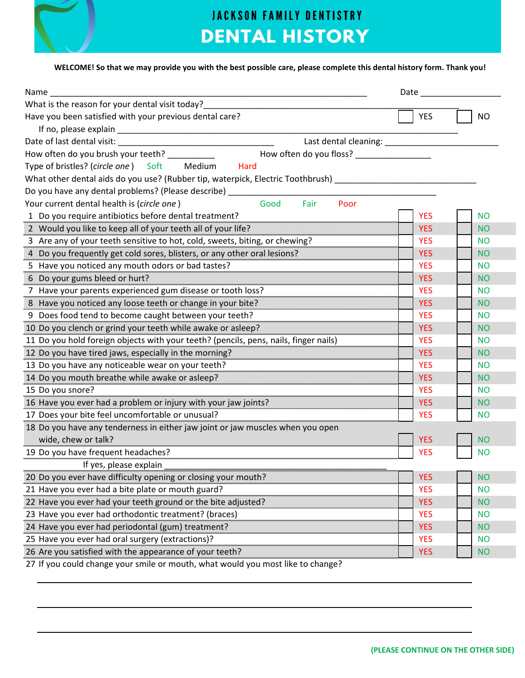

## **JACKSON FAMILY DENTISTRY DENTAL HISTORY**

#### WELCOME! So that we may provide you with the best possible care, please complete this dental history form. Thank you!

| Name                                                                                 |            |           |
|--------------------------------------------------------------------------------------|------------|-----------|
| What is the reason for your dental visit today?                                      |            |           |
| Have you been satisfied with your previous dental care?                              | <b>YES</b> | <b>NO</b> |
|                                                                                      |            |           |
| Last dental cleaning: ______________                                                 |            |           |
| How often do you brush your teeth? __________                                        |            |           |
| Type of bristles? (circle one) Soft<br>Medium<br>Hard                                |            |           |
| What other dental aids do you use? (Rubber tip, waterpick, Electric Toothbrush)      |            |           |
| Do you have any dental problems? (Please describe)                                   |            |           |
| Fair<br>Your current dental health is (circle one)<br>Good<br>Poor                   |            |           |
| 1 Do you require antibiotics before dental treatment?                                | <b>YES</b> | <b>NO</b> |
| 2 Would you like to keep all of your teeth all of your life?                         | <b>YES</b> | <b>NO</b> |
| 3 Are any of your teeth sensitive to hot, cold, sweets, biting, or chewing?          | <b>YES</b> | <b>NO</b> |
| 4 Do you frequently get cold sores, blisters, or any other oral lesions?             | <b>YES</b> | <b>NO</b> |
| 5 Have you noticed any mouth odors or bad tastes?                                    | <b>YES</b> | <b>NO</b> |
| 6 Do your gums bleed or hurt?                                                        | <b>YES</b> | <b>NO</b> |
| 7 Have your parents experienced gum disease or tooth loss?                           | <b>YES</b> | <b>NO</b> |
| 8 Have you noticed any loose teeth or change in your bite?                           | <b>YES</b> | <b>NO</b> |
| 9 Does food tend to become caught between your teeth?                                | <b>YES</b> | <b>NO</b> |
| 10 Do you clench or grind your teeth while awake or asleep?                          | <b>YES</b> | <b>NO</b> |
| 11 Do you hold foreign objects with your teeth? (pencils, pens, nails, finger nails) | <b>YES</b> | <b>NO</b> |
| 12 Do you have tired jaws, especially in the morning?                                | <b>YES</b> | <b>NO</b> |
| 13 Do you have any noticeable wear on your teeth?                                    | <b>YES</b> | <b>NO</b> |
| 14 Do you mouth breathe while awake or asleep?                                       | <b>YES</b> | <b>NO</b> |
| 15 Do you snore?                                                                     | <b>YES</b> | <b>NO</b> |
| 16 Have you ever had a problem or injury with your jaw joints?                       | <b>YES</b> | <b>NO</b> |
| 17 Does your bite feel uncomfortable or unusual?                                     | <b>YES</b> | <b>NO</b> |
| 18 Do you have any tenderness in either jaw joint or jaw muscles when you open       |            |           |
| wide, chew or talk?                                                                  | <b>YES</b> | <b>NO</b> |
| 19 Do you have frequent headaches?                                                   | <b>YES</b> | <b>NO</b> |
| If yes, please explain                                                               |            |           |
| 20 Do you ever have difficulty opening or closing your mouth?                        | <b>YES</b> | <b>NO</b> |
| 21 Have you ever had a bite plate or mouth guard?                                    | <b>YES</b> | <b>NO</b> |
| 22 Have you ever had your teeth ground or the bite adjusted?                         | <b>YES</b> | <b>NO</b> |
| 23 Have you ever had orthodontic treatment? (braces)                                 | <b>YES</b> | <b>NO</b> |
| 24 Have you ever had periodontal (gum) treatment?                                    | <b>YES</b> | <b>NO</b> |
| 25 Have you ever had oral surgery (extractions)?                                     | <b>YES</b> | <b>NO</b> |
| 26 Are you satisfied with the appearance of your teeth?                              | <b>YES</b> | <b>NO</b> |
| 27 If you could change your smile or mouth, what would you most like to change?      |            |           |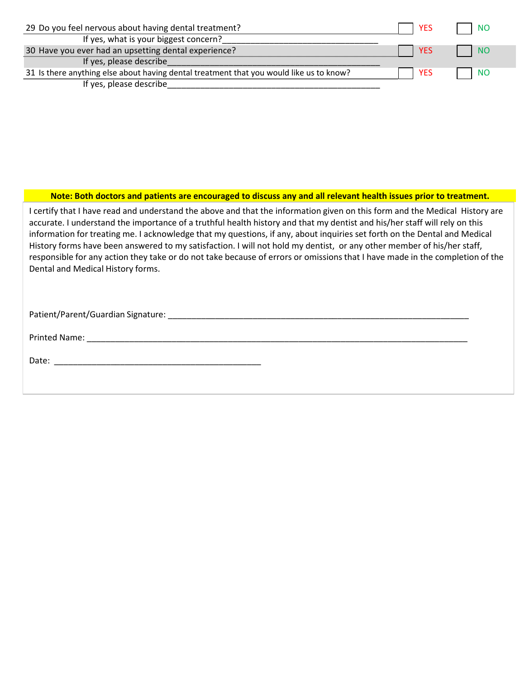| 29 Do you feel nervous about having dental treatment?                                   | <b>YES</b> | l NC |
|-----------------------------------------------------------------------------------------|------------|------|
| If yes, what is your biggest concern?                                                   |            |      |
| 30 Have you ever had an upsetting dental experience?                                    | YES        | INC  |
| If yes, please describe                                                                 |            |      |
| 31 Is there anything else about having dental treatment that you would like us to know? | <b>YES</b> | INC  |
| If yes, please describe                                                                 |            |      |

#### Note: Both doctors and patients are encouraged to discuss any and all relevant health issues prior to treatment.

I certify that I have read and understand the above and that the information given on this form and the Medical History are accurate. I understand the importance of a truthful health history and that my dentist and his/her staff will rely on this information for treating me. I acknowledge that my questions, if any, about inquiries set forth on the Dental and Medical History forms have been answered to my satisfaction. I will not hold my dentist, or any other member of his/her staff, responsible for any action they take or do not take because of errors or omissions that I have made in the completion of the Dental and Medical History forms.

Patient/Parent/Guardian Signature: \_\_\_\_\_\_\_\_\_\_\_\_\_\_\_\_\_\_\_\_\_\_\_\_\_\_\_\_\_\_\_\_\_\_\_\_\_\_\_\_\_\_\_\_\_\_\_\_\_\_\_\_\_\_\_\_\_\_\_\_\_\_\_\_

Printed Name: \_\_\_\_\_\_\_\_\_\_\_\_\_\_\_\_\_\_\_\_\_\_\_\_\_\_\_\_\_\_\_\_\_\_\_\_\_\_\_\_\_\_\_\_\_\_\_\_\_\_\_\_\_\_\_\_\_\_\_\_\_\_\_\_\_\_\_\_\_\_\_\_\_\_\_\_\_\_\_\_\_

Date: \_\_\_\_\_\_\_\_\_\_\_\_\_\_\_\_\_\_\_\_\_\_\_\_\_\_\_\_\_\_\_\_\_\_\_\_\_\_\_\_\_\_\_\_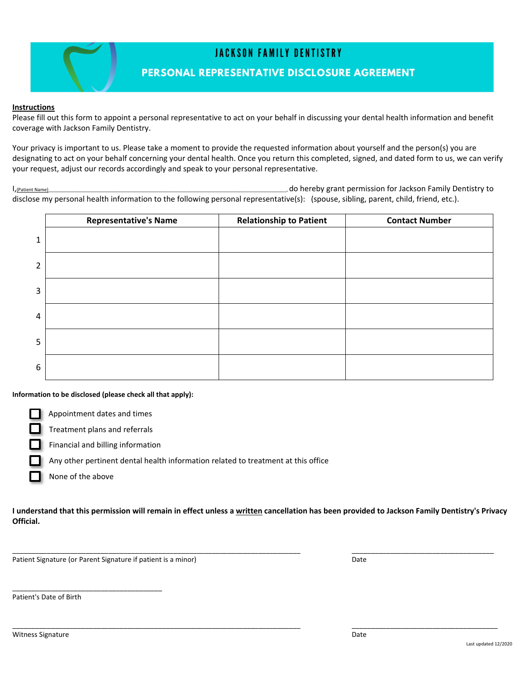

#### **Instructions**

Please fill out this form to appoint a personal representative to act on your behalf in discussing your dental health information and benefit coverage with Jackson Family Dentistry.

Your privacy is important to us. Please take a moment to provide the requested information about yourself and the person(s) you are designating to act on your behalf concerning your dental health. Once you return this completed, signed, and dated form to us, we can verify your request, adjust our records accordingly and speak to your personal representative.

I,(Patient Name)\_\_\_\_\_\_\_\_\_\_\_\_\_\_\_\_\_\_\_\_\_\_\_\_\_\_\_\_\_\_\_\_\_\_\_\_\_\_\_\_\_\_\_\_\_\_\_\_\_\_\_\_\_\_\_\_\_\_\_\_\_\_\_\_\_\_\_\_\_\_\_\_\_\_\_\_\_\_\_\_\_\_\_\_\_\_\_\_\_\_\_\_\_, do hereby grant permission for Jackson Family Dentistry to disclose my personal health information to the following personal representative(s): (spouse, sibling, parent, child, friend, etc.).

|                | <b>Representative's Name</b> | <b>Relationship to Patient</b> | <b>Contact Number</b> |
|----------------|------------------------------|--------------------------------|-----------------------|
| $\mathbf{1}$   |                              |                                |                       |
| $\overline{2}$ |                              |                                |                       |
| $\overline{3}$ |                              |                                |                       |
| $\overline{4}$ |                              |                                |                       |
| 5              |                              |                                |                       |
| 6              |                              |                                |                       |

**Information to be disclosed (please check all that apply):**

Appointment dates and times

Treatment plans and referrals

Financial and billing information

Any other pertinent dental health information related to treatment at this office

None of the above

I understand that this permission will remain in effect unless a written cancellation has been provided to Jackson Family Dentistry's Privacy **Official.**

\_\_\_\_\_\_\_\_\_\_\_\_\_\_\_\_\_\_\_\_\_\_\_\_\_\_\_\_\_\_\_\_\_\_\_\_\_\_\_\_\_\_\_\_\_\_\_\_\_\_\_\_\_\_\_\_\_\_\_\_\_\_\_\_\_\_\_\_\_\_\_\_\_\_\_ \_\_\_\_\_\_\_\_\_\_\_\_\_\_\_\_\_\_\_\_\_\_\_\_\_\_\_\_\_\_\_\_\_\_\_\_\_

\_\_\_\_\_\_\_\_\_\_\_\_\_\_\_\_\_\_\_\_\_\_\_\_\_\_\_\_\_\_\_\_\_\_\_\_\_\_\_\_\_\_\_\_\_\_\_\_\_\_\_\_\_\_\_\_\_\_\_\_\_\_\_\_\_\_\_\_\_\_\_\_\_\_\_ \_\_\_\_\_\_\_\_\_\_\_\_\_\_\_\_\_\_\_\_\_\_\_\_\_\_\_\_\_\_\_\_\_\_\_\_\_\_

Patient Signature (or Parent Signature if patient is a minor) Date

\_\_\_\_\_\_\_\_\_\_\_\_\_\_\_\_\_\_\_\_\_\_\_\_\_\_\_\_\_\_\_\_\_\_\_\_\_\_\_

Patient's Date of Birth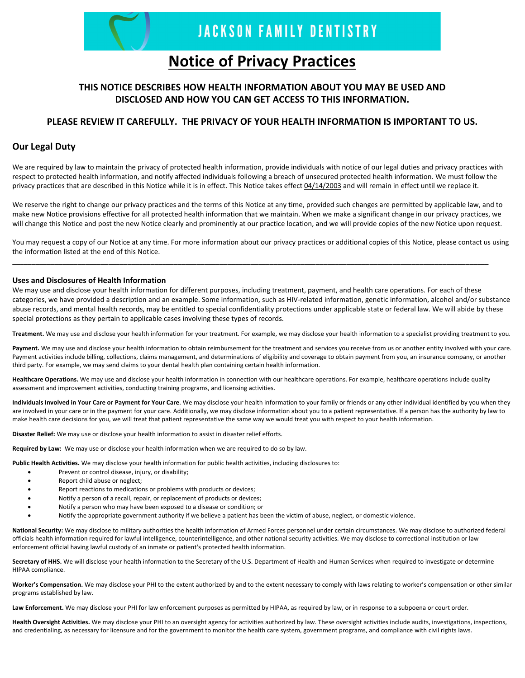

## **Notice of Privacy Practices**

### **THIS NOTICE DESCRIBES HOW HEALTH INFORMATION ABOUT YOU MAY BE USED AND DISCLOSED AND HOW YOU CAN GET ACCESS TO THIS INFORMATION.**

#### **PLEASE REVIEW IT CAREFULLY. THE PRIVACY OF YOUR HEALTH INFORMATION IS IMPORTANT TO US.**

#### **Our Legal Duty**

We are required by law to maintain the privacy of protected health information, provide individuals with notice of our legal duties and privacy practices with respect to protected health information, and notify affected individuals following a breach of unsecured protected health information. We must follow the privacy practices that are described in this Notice while it is in effect. This Notice takes effect 04/14/2003 and will remain in effect until we replace it.

We reserve the right to change our privacy practices and the terms of this Notice at any time, provided such changes are permitted by applicable law, and to make new Notice provisions effective for all protected health information that we maintain. When we make a significant change in our privacy practices, we will change this Notice and post the new Notice clearly and prominently at our practice location, and we will provide copies of the new Notice upon request.

You may request a copy of our Notice at any time. For more information about our privacy practices or additional copies of this Notice, please contact us using the information listed at the end of this Notice.

**\_\_\_\_\_\_\_\_\_\_\_\_\_\_\_\_\_\_\_\_\_\_\_\_\_\_\_\_\_\_\_\_\_\_\_\_\_\_\_\_\_\_\_\_\_\_\_\_\_\_\_\_\_\_\_\_\_\_\_\_\_\_\_\_\_\_\_\_\_\_\_\_\_\_\_\_\_\_\_\_\_\_\_\_\_\_\_\_\_\_\_\_\_\_\_\_\_\_\_\_\_\_\_\_\_\_\_\_\_\_\_\_\_\_\_\_\_\_\_\_\_\_\_\_**

#### **Uses and Disclosures of Health Information**

We may use and disclose your health information for different purposes, including treatment, payment, and health care operations. For each of these categories, we have provided a description and an example. Some information, such as HIV-related information, genetic information, alcohol and/or substance abuse records, and mental health records, may be entitled to special confidentiality protections under applicable state or federal law. We will abide by these special protections as they pertain to applicable cases involving these types of records.

**Treatment.** We may use and disclose your health information for your treatment. For example, we may disclose your health information to a specialist providing treatment to you.

Payment. We may use and disclose your health information to obtain reimbursement for the treatment and services you receive from us or another entity involved with your care. Payment activities include billing, collections, claims management, and determinations of eligibility and coverage to obtain payment from you, an insurance company, or another third party. For example, we may send claims to your dental health plan containing certain health information.

**Healthcare Operations.** We may use and disclose your health information in connection with our healthcare operations. For example, healthcare operations include quality assessment and improvement activities, conducting training programs, and licensing activities.

Individuals Involved in Your Care or Payment for Your Care. We may disclose your health information to your family or friends or any other individual identified by you when they are involved in your care or in the payment for your care. Additionally, we may disclose information about you to a patient representative. If a person has the authority by law to make health care decisions for you, we will treat that patient representative the same way we would treat you with respect to your health information.

**Disaster Relief:** We may use or disclose your health information to assist in disaster relief efforts.

**Required by Law:** We may use or disclose your health information when we are required to do so by law.

**Public Health Activities.** We may disclose your health information for public health activities, including disclosures to:

- Prevent or control disease, injury, or disability;
- Report child abuse or neglect;
- Report reactions to medications or problems with products or devices;
- Notify a person of a recall, repair, or replacement of products or devices;
- Notify a person who may have been exposed to a disease or condition; or
- Notify the appropriate government authority if we believe a patient has been the victim of abuse, neglect, or domestic violence.

**National Security:** We may disclose to military authorities the health information of Armed Forces personnel under certain circumstances. We may disclose to authorized federal officials health information required for lawful intelligence, counterintelligence, and other national security activities. We may disclose to correctional institution or law enforcement official having lawful custody of an inmate or patient's protected health information.

**Secretary of HHS.** We will disclose your health information to the Secretary of the U.S. Department of Health and Human Services when required to investigate or determine HIPAA compliance.

**Worker's Compensation.** We may disclose your PHI to the extent authorized by and to the extent necessary to comply with laws relating to worker's compensation or other similar programs established by law.

Law Enforcement. We may disclose your PHI for law enforcement purposes as permitted by HIPAA, as required by law, or in response to a subpoena or court order.

**Health Oversight Activities.** We may disclose your PHI to an oversight agency for activities authorized by law. These oversight activities include audits, investigations, inspections, and credentialing, as necessary for licensure and for the government to monitor the health care system, government programs, and compliance with civil rights laws.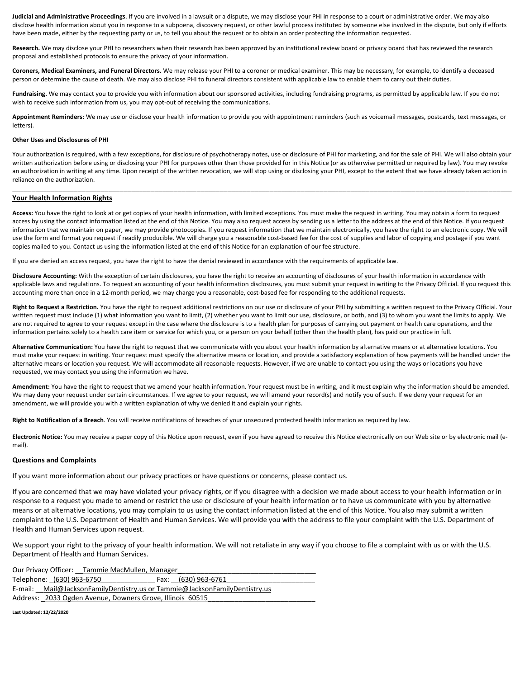**Judicial and Administrative Proceedings**. If you are involved in a lawsuit or a dispute, we may disclose your PHI in response to a court or administrative order. We may also disclose health information about you in response to a subpoena, discovery request, or other lawful process instituted by someone else involved in the dispute, but only if efforts have been made, either by the requesting party or us, to tell you about the request or to obtain an order protecting the information requested.

Research. We may disclose your PHI to researchers when their research has been approved by an institutional review board or privacy board that has reviewed the research proposal and established protocols to ensure the privacy of your information.

**Coroners, Medical Examiners, and Funeral Directors.** We may release your PHI to a coroner or medical examiner. This may be necessary, for example, to identify a deceased person or determine the cause of death. We may also disclose PHI to funeral directors consistent with applicable law to enable them to carry out their duties.

Fundraising. We may contact you to provide you with information about our sponsored activities, including fundraising programs, as permitted by applicable law. If you do not wish to receive such information from us, you may opt-out of receiving the communications.

**Appointment Reminders:** We may use or disclose your health information to provide you with appointment reminders (such as voicemail messages, postcards, text messages, or letters).

#### **Other Uses and Disclosures of PHI**

Your authorization is required, with a few exceptions, for disclosure of psychotherapy notes, use or disclosure of PHI for marketing, and for the sale of PHI. We will also obtain your written authorization before using or disclosing your PHI for purposes other than those provided for in this Notice (or as otherwise permitted or required by law). You may revoke an authorization in writing at any time. Upon receipt of the written revocation, we will stop using or disclosing your PHI, except to the extent that we have already taken action in reliance on the authorization.

\_\_\_\_\_\_\_\_\_\_\_\_\_\_\_\_\_\_\_\_\_\_\_\_\_\_\_\_\_\_\_\_\_\_\_\_\_\_\_\_\_\_\_\_\_\_\_\_\_\_\_\_\_\_\_\_\_\_\_\_\_\_\_\_\_\_\_\_\_\_\_\_\_\_\_\_\_\_\_\_\_\_\_\_\_\_\_\_\_\_\_\_\_\_\_\_\_\_\_\_\_\_\_\_\_\_\_\_\_\_\_\_\_\_\_\_\_\_\_\_\_\_\_\_\_\_\_\_\_\_

#### **Your Health Information Rights**

**Access:** You have the right to look at or get copies of your health information, with limited exceptions. You must make the request in writing. You may obtain a form to request access by using the contact information listed at the end of this Notice. You may also request access by sending us a letter to the address at the end of this Notice. If you request information that we maintain on paper, we may provide photocopies. If you request information that we maintain electronically, you have the right to an electronic copy. We will use the form and format you request if readily producible. We will charge you a reasonable cost-based fee for the cost of supplies and labor of copying and postage if you want copies mailed to you. Contact us using the information listed at the end of this Notice for an explanation of our fee structure.

If you are denied an access request, you have the right to have the denial reviewed in accordance with the requirements of applicable law.

**Disclosure Accounting:** With the exception of certain disclosures, you have the right to receive an accounting of disclosures of your health information in accordance with applicable laws and regulations. To request an accounting of your health information disclosures, you must submit your request in writing to the Privacy Official. If you request this accounting more than once in a 12-month period, we may charge you a reasonable, cost-based fee for responding to the additional requests.

**Right to Request a Restriction.** You have the right to request additional restrictions on our use or disclosure of your PHI by submitting a written request to the Privacy Official. Your written request must include (1) what information you want to limit, (2) whether you want to limit our use, disclosure, or both, and (3) to whom you want the limits to apply. We are not required to agree to your request except in the case where the disclosure is to a health plan for purposes of carrying out payment or health care operations, and the information pertains solely to a health care item or service for which you, or a person on your behalf (other than the health plan), has paid our practice in full.

**Alternative Communication:** You have the right to request that we communicate with you about your health information by alternative means or at alternative locations. You must make your request in writing. Your request must specify the alternative means or location, and provide a satisfactory explanation of how payments will be handled under the alternative means or location you request. We will accommodate all reasonable requests. However, if we are unable to contact you using the ways or locations you have requested, we may contact you using the information we have.

**Amendment:** You have the right to request that we amend your health information. Your request must be in writing, and it must explain why the information should be amended. We may deny your request under certain circumstances. If we agree to your request, we will amend your record(s) and notify you of such. If we deny your request for an amendment, we will provide you with a written explanation of why we denied it and explain your rights.

**Right to Notification of a Breach**. You will receive notifications of breaches of your unsecured protected health information as required by law.

**Electronic Notice:** You may receive a paper copy of this Notice upon request, even if you have agreed to receive this Notice electronically on our Web site or by electronic mail (e‐ mail).

#### **Questions and Complaints**

If you want more information about our privacy practices or have questions or concerns, please contact us.

If you are concerned that we may have violated your privacy rights, or if you disagree with a decision we made about access to your health information or in response to a request you made to amend or restrict the use or disclosure of your health information or to have us communicate with you by alternative means or at alternative locations, you may complain to us using the contact information listed at the end of this Notice. You also may submit a written complaint to the U.S. Department of Health and Human Services. We will provide you with the address to file your complaint with the U.S. Department of Health and Human Services upon request.

We support your right to the privacy of your health information. We will not retaliate in any way if you choose to file a complaint with us or with the U.S. Department of Health and Human Services.

| Our Privacy Officer: Tammie MacMullen, Manager                             |                     |  |
|----------------------------------------------------------------------------|---------------------|--|
| Telephone: (630) 963-6750                                                  | Fax: (630) 963-6761 |  |
| E-mail: Mail@JacksonFamilyDentistry.us or Tammie@JacksonFamilyDentistry.us |                     |  |
| Address: 2033 Ogden Avenue, Downers Grove, Illinois 60515                  |                     |  |
|                                                                            |                     |  |

**Last Updated: 12/22/2020**